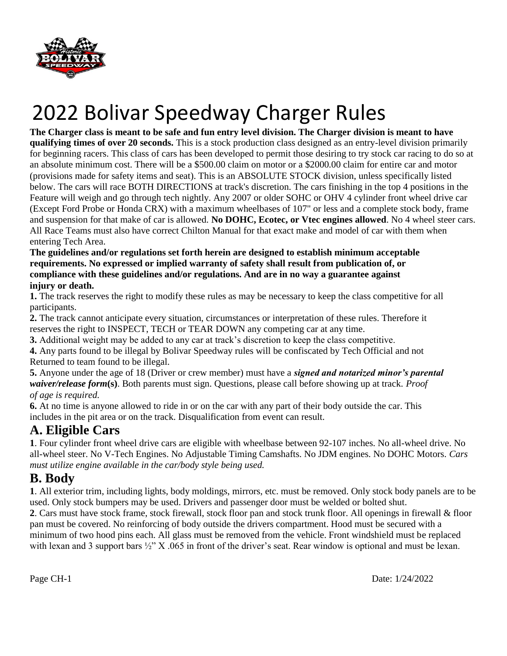

**The Charger class is meant to be safe and fun entry level division. The Charger division is meant to have qualifying times of over 20 seconds.** This is a stock production class designed as an entry-level division primarily for beginning racers. This class of cars has been developed to permit those desiring to try stock car racing to do so at an absolute minimum cost. There will be a \$500.00 claim on motor or a \$2000.00 claim for entire car and motor (provisions made for safety items and seat). This is an ABSOLUTE STOCK division, unless specifically listed below. The cars will race BOTH DIRECTIONS at track's discretion. The cars finishing in the top 4 positions in the Feature will weigh and go through tech nightly. Any 2007 or older SOHC or OHV 4 cylinder front wheel drive car (Except Ford Probe or Honda CRX) with a maximum wheelbases of 107" or less and a complete stock body, frame and suspension for that make of car is allowed. **No DOHC, Ecotec, or Vtec engines allowed**. No 4 wheel steer cars. All Race Teams must also have correct Chilton Manual for that exact make and model of car with them when entering Tech Area.

**The guidelines and/or regulations set forth herein are designed to establish minimum acceptable requirements. No expressed or implied warranty of safety shall result from publication of, or compliance with these guidelines and/or regulations. And are in no way a guarantee against injury or death.** 

**1.** The track reserves the right to modify these rules as may be necessary to keep the class competitive for all participants.

**2.** The track cannot anticipate every situation, circumstances or interpretation of these rules. Therefore it reserves the right to INSPECT, TECH or TEAR DOWN any competing car at any time.

**3.** Additional weight may be added to any car at track's discretion to keep the class competitive.

**4.** Any parts found to be illegal by Bolivar Speedway rules will be confiscated by Tech Official and not Returned to team found to be illegal.

**5.** Anyone under the age of 18 (Driver or crew member) must have a *signed and notarized minor's parental waiver/release form***(s)**. Both parents must sign. Questions, please call before showing up at track. *Proof of age is required.* 

**6.** At no time is anyone allowed to ride in or on the car with any part of their body outside the car. This includes in the pit area or on the track. Disqualification from event can result.

## **A. Eligible Cars**

**1**. Four cylinder front wheel drive cars are eligible with wheelbase between 92-107 inches. No all-wheel drive. No all-wheel steer. No V-Tech Engines. No Adjustable Timing Camshafts. No JDM engines. No DOHC Motors. *Cars must utilize engine available in the car/body style being used.* 

## **B. Body**

**1**. All exterior trim, including lights, body moldings, mirrors, etc. must be removed. Only stock body panels are to be used. Only stock bumpers may be used. Drivers and passenger door must be welded or bolted shut.

**2**. Cars must have stock frame, stock firewall, stock floor pan and stock trunk floor. All openings in firewall & floor pan must be covered. No reinforcing of body outside the drivers compartment. Hood must be secured with a minimum of two hood pins each. All glass must be removed from the vehicle. Front windshield must be replaced with lexan and 3 support bars  $\frac{1}{2}$  X .065 in front of the driver's seat. Rear window is optional and must be lexan.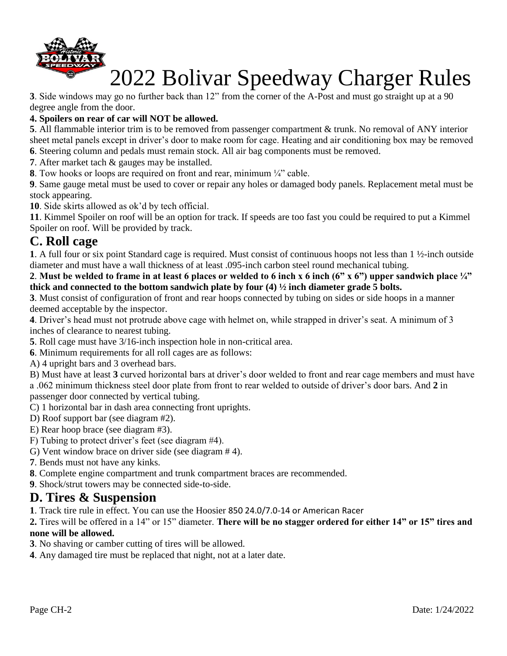

**3**. Side windows may go no further back than 12" from the corner of the A-Post and must go straight up at a 90 degree angle from the door.

#### **4. Spoilers on rear of car will NOT be allowed.**

**5**. All flammable interior trim is to be removed from passenger compartment & trunk. No removal of ANY interior sheet metal panels except in driver's door to make room for cage. Heating and air conditioning box may be removed

**6**. Steering column and pedals must remain stock. All air bag components must be removed.

**7**. After market tach & gauges may be installed.

**8**. Tow hooks or loops are required on front and rear, minimum  $\frac{1}{4}$  cable.

**9**. Same gauge metal must be used to cover or repair any holes or damaged body panels. Replacement metal must be stock appearing.

**10**. Side skirts allowed as ok'd by tech official.

**11**. Kimmel Spoiler on roof will be an option for track. If speeds are too fast you could be required to put a Kimmel Spoiler on roof. Will be provided by track.

## **C. Roll cage**

**1**. A full four or six point Standard cage is required. Must consist of continuous hoops not less than 1 ½-inch outside diameter and must have a wall thickness of at least .095-inch carbon steel round mechanical tubing.

#### **2**. **Must be welded to frame in at least 6 places or welded to 6 inch x 6 inch (6" x 6") upper sandwich place ¼" thick and connected to the bottom sandwich plate by four (4) ½ inch diameter grade 5 bolts.**

**3**. Must consist of configuration of front and rear hoops connected by tubing on sides or side hoops in a manner deemed acceptable by the inspector.

**4**. Driver's head must not protrude above cage with helmet on, while strapped in driver's seat. A minimum of 3 inches of clearance to nearest tubing.

**5**. Roll cage must have 3/16-inch inspection hole in non-critical area.

**6**. Minimum requirements for all roll cages are as follows:

A) 4 upright bars and 3 overhead bars.

B) Must have at least **3** curved horizontal bars at driver's door welded to front and rear cage members and must have a .062 minimum thickness steel door plate from front to rear welded to outside of driver's door bars. And **2** in passenger door connected by vertical tubing.

- C) 1 horizontal bar in dash area connecting front uprights.
- D) Roof support bar (see diagram #2).
- E) Rear hoop brace (see diagram #3).
- F) Tubing to protect driver's feet (see diagram #4).
- G) Vent window brace on driver side (see diagram # 4).
- **7**. Bends must not have any kinks.
- **8**. Complete engine compartment and trunk compartment braces are recommended.
- **9**. Shock/strut towers may be connected side-to-side.

### **D. Tires & Suspension**

**1**. Track tire rule in effect. You can use the Hoosier 850 24.0/7.0-14 or American Racer

**2.** Tires will be offered in a 14" or 15" diameter. **There will be no stagger ordered for either 14" or 15" tires and none will be allowed.** 

**3**. No shaving or camber cutting of tires will be allowed.

**4**. Any damaged tire must be replaced that night, not at a later date.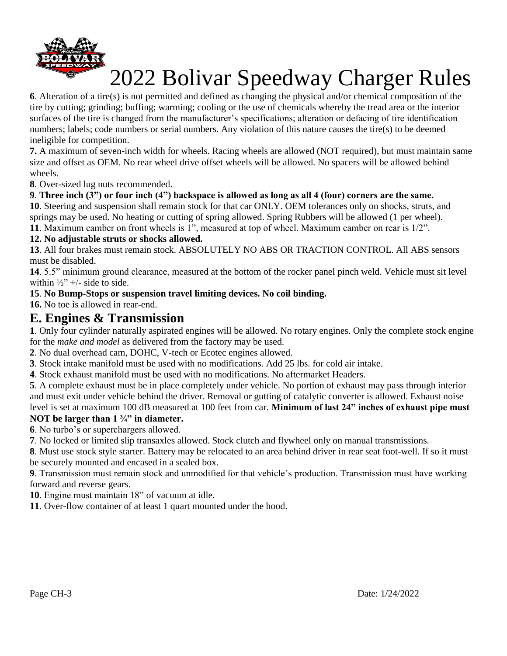

**6**. Alteration of a tire(s) is not permitted and defined as changing the physical and/or chemical composition of the tire by cutting; grinding; buffing; warming; cooling or the use of chemicals whereby the tread area or the interior surfaces of the tire is changed from the manufacturer's specifications; alteration or defacing of tire identification numbers; labels; code numbers or serial numbers. Any violation of this nature causes the tire(s) to be deemed ineligible for competition.

**7.** A maximum of seven-inch width for wheels. Racing wheels are allowed (NOT required), but must maintain same size and offset as OEM. No rear wheel drive offset wheels will be allowed. No spacers will be allowed behind wheels.

**8**. Over-sized lug nuts recommended.

#### **9**. **Three inch (3") or four inch (4") backspace is allowed as long as all 4 (four) corners are the same.**

**10**. Steering and suspension shall remain stock for that car ONLY. OEM tolerances only on shocks, struts, and springs may be used. No heating or cutting of spring allowed. Spring Rubbers will be allowed (1 per wheel).

**11**. Maximum camber on front wheels is 1", measured at top of wheel. Maximum camber on rear is 1/2".

#### **12. No adjustable struts or shocks allowed.**

**13**. All four brakes must remain stock. ABSOLUTELY NO ABS OR TRACTION CONTROL. All ABS sensors must be disabled.

**14**. 5.5" minimum ground clearance, measured at the bottom of the rocker panel pinch weld. Vehicle must sit level within  $\frac{1}{2}$  +/- side to side.

#### **15**. **No Bump-Stops or suspension travel limiting devices. No coil binding.**

**16.** No toe is allowed in rear-end.

### **E. Engines & Transmission**

**1**. Only four cylinder naturally aspirated engines will be allowed. No rotary engines. Only the complete stock engine for the *make and model* as delivered from the factory may be used.

**2**. No dual overhead cam, DOHC, V-tech or Ecotec engines allowed.

**3**. Stock intake manifold must be used with no modifications. Add 25 lbs. for cold air intake.

**4**. Stock exhaust manifold must be used with no modifications. No aftermarket Headers.

**5**. A complete exhaust must be in place completely under vehicle. No portion of exhaust may pass through interior and must exit under vehicle behind the driver. Removal or gutting of catalytic converter is allowed. Exhaust noise level is set at maximum 100 dB measured at 100 feet from car. **Minimum of last 24" inches of exhaust pipe must** 

#### **NOT be larger than 1 ¾" in diameter.**

**6**. No turbo's or superchargers allowed.

**7**. No locked or limited slip transaxles allowed. Stock clutch and flywheel only on manual transmissions.

**8**. Must use stock style starter. Battery may be relocated to an area behind driver in rear seat foot-well. If so it must be securely mounted and encased in a sealed box.

**9**. Transmission must remain stock and unmodified for that vehicle's production. Transmission must have working forward and reverse gears.

**10**. Engine must maintain 18" of vacuum at idle.

**11**. Over-flow container of at least 1 quart mounted under the hood.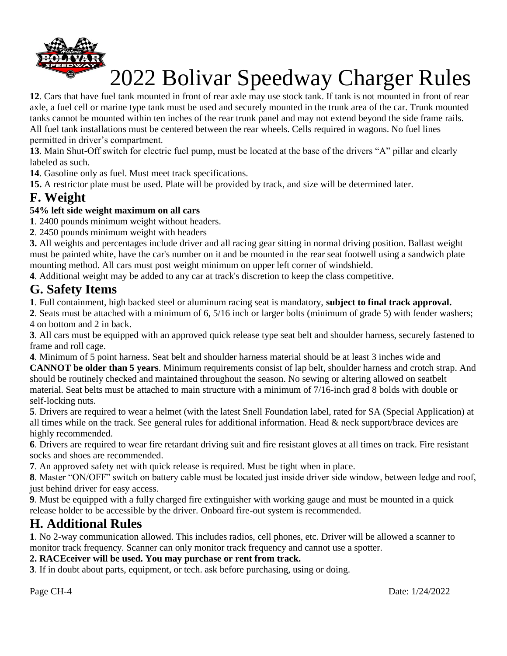

**12**. Cars that have fuel tank mounted in front of rear axle may use stock tank. If tank is not mounted in front of rear axle, a fuel cell or marine type tank must be used and securely mounted in the trunk area of the car. Trunk mounted tanks cannot be mounted within ten inches of the rear trunk panel and may not extend beyond the side frame rails. All fuel tank installations must be centered between the rear wheels. Cells required in wagons. No fuel lines permitted in driver's compartment.

**13**. Main Shut-Off switch for electric fuel pump, must be located at the base of the drivers "A" pillar and clearly labeled as such.

**14**. Gasoline only as fuel. Must meet track specifications.

**15.** A restrictor plate must be used. Plate will be provided by track, and size will be determined later.

## **F. Weight**

### **54% left side weight maximum on all cars**

**1**. 2400 pounds minimum weight without headers.

**2**. 2450 pounds minimum weight with headers

**3.** All weights and percentages include driver and all racing gear sitting in normal driving position. Ballast weight must be painted white, have the car's number on it and be mounted in the rear seat footwell using a sandwich plate mounting method. All cars must post weight minimum on upper left corner of windshield.

**4**. Additional weight may be added to any car at track's discretion to keep the class competitive.

## **G. Safety Items**

**1**. Full containment, high backed steel or aluminum racing seat is mandatory, **subject to final track approval.** 

**2**. Seats must be attached with a minimum of 6, 5/16 inch or larger bolts (minimum of grade 5) with fender washers; 4 on bottom and 2 in back.

**3**. All cars must be equipped with an approved quick release type seat belt and shoulder harness, securely fastened to frame and roll cage.

**4**. Minimum of 5 point harness. Seat belt and shoulder harness material should be at least 3 inches wide and **CANNOT be older than 5 years**. Minimum requirements consist of lap belt, shoulder harness and crotch strap. And should be routinely checked and maintained throughout the season. No sewing or altering allowed on seatbelt material. Seat belts must be attached to main structure with a minimum of 7/16-inch grad 8 bolds with double or self-locking nuts.

**5**. Drivers are required to wear a helmet (with the latest Snell Foundation label, rated for SA (Special Application) at all times while on the track. See general rules for additional information. Head  $\&$  neck support/brace devices are highly recommended.

**6**. Drivers are required to wear fire retardant driving suit and fire resistant gloves at all times on track. Fire resistant socks and shoes are recommended.

**7**. An approved safety net with quick release is required. Must be tight when in place.

**8**. Master "ON/OFF" switch on battery cable must be located just inside driver side window, between ledge and roof, just behind driver for easy access.

**9**. Must be equipped with a fully charged fire extinguisher with working gauge and must be mounted in a quick release holder to be accessible by the driver. Onboard fire-out system is recommended.

## **H. Additional Rules**

**1**. No 2-way communication allowed. This includes radios, cell phones, etc. Driver will be allowed a scanner to monitor track frequency. Scanner can only monitor track frequency and cannot use a spotter.

#### **2. RACEceiver will be used. You may purchase or rent from track.**

**3**. If in doubt about parts, equipment, or tech. ask before purchasing, using or doing.